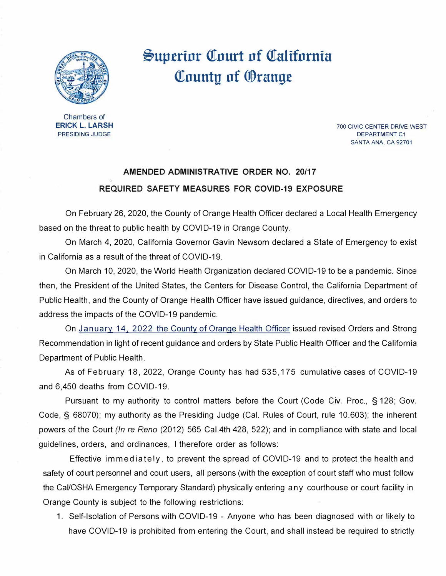

## **�up.erinr Q.Tnurt nf Q.Talifnrnia Q.Tnuntu nf ®range**

Chambers of **ERICK** L. **LARSH**  PRESIDING JUDGE

700 CIVIC CENTER DRIVE WEST DEPARTMENT C1 SANTA ANA, CA 92701

## **AMENDED ADMINISTRATIVE ORDER NO. 20/17 REQUIRED SAFETY MEASURES FOR COVID-19 EXPOSURE**

On February 26, 2020, the County of Orange Health Officer declared a Local Health Emergency based on the threat to public health by COVID-19 in Orange County.

On March **4,** 2020, California Governor Gavin Newsom declared a State of Emergency to exist in California as a result of the threat of COVID-19.

On March 10, 2020, the World Health Organization declared COVID-19 to be a pandemic. Since then, the President of the United States, the Centers for Disease Control, the California Department of Public Health, and the County of Orange Health Officer have issued guidance, directives, and orders to address the impacts of the COVID-19 pandemic.

On [January 14, 2022 the County of Orange Health Officer](https://occovid19.ochealthinfo.com/article/oc-health-officers-orders-recommendations) issued revised Orders and Strong Recommendation in light of recent guidance and orders by State Public Health Officer and the California Department of Public Health.

As of February 18, 2022, Orange County has had 535,175 cumulative cases of COVID-19 and 6,450 deaths from COVID-19.

Pursuant to my authority to control matters before the Court (Code Civ. Proc., § 128; Gov. Code, § 68070); my authority as the Presiding Judge (Cal. Rules of Court, rule 10.603); the inherent powers of the Court *(In re Reno* (2012) 565 Cal.4th 428, 522); and in compliance with state and local guidelines, orders, and ordinances, I therefore order as follows:

Effective immediately, to prevent the spread of COVID-19 and to protect the health and safety of court personnel and court users, all persons (with the exception of court staff who must follow the Cal/OSHA Emergency Temporary Standard) physically entering any courthouse or court facility in Orange County is subject to the following restrictions:

1. Self-Isolation of Persons with COVID-19 - Anyone who has been diagnosed with or likely to have COVID-19 is prohibited from entering the Court, and shall instead be required to strictly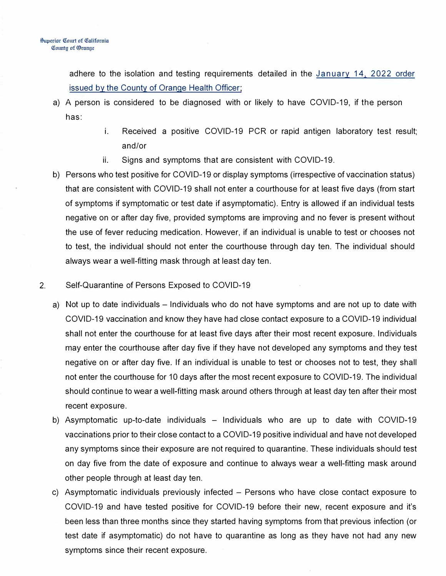adhere to the isolation and testing requirements detailed in the [January 14, 2022 order](https://occovid19.ochealthinfo.com/article/oc-health-officers-orders-recommendations)  [issued by the County of Orange Health Officer;](https://occovid19.ochealthinfo.com/article/oc-health-officers-orders-recommendations)

- a) A person is considered to be diagnosed with or likely to have COVID-19, if the person has:
	- i. Received a positive COVID-19 PCR or rapid antigen laboratory test result; and/or
	- ii. Signs and symptoms that are consistent with COVID-19.
- b) Persons who test positive for COVID-19 or display symptoms (irrespective of vaccination status) that are consistent with COVID-19 shall not enter a courthouse for at least five days (from start of symptoms if symptomatic or test date if asymptomatic). Entry is allowed if an individual tests negative on or after day five, provided symptoms are improving and no fever is present without the use of fever reducing medication. However, if an individual is unable to test or chooses not to test, the individual should not enter the courthouse through day ten. The individual should always wear a well-fitting mask through at least day ten.
- 2. Self-Quarantine of Persons Exposed to COVID-19
	- a) Not up to date individuals Individuals who do not have symptoms and are not up to date with COVID-19 vaccination and know they have had close contact exposure to a COVID-19 individual shall not enter the courthouse for at least five days after their most recent exposure. Individuals may enter the courthouse after day five if they have not developed any symptoms and they test negative on or after day five. If an individual is unable to test or chooses not to test, they shall not enter the courthouse for 10 days after the most recent exposure to COVID-19. The individual should continue to wear a well-fitting mask around others through at least day ten after their most recent exposure.
	- b) Asymptomatic up-to-date individuals  $-$  Individuals who are up to date with COVID-19 vaccinations prior to their close contact to a COVID-19 positive individual and have not developed any symptoms since their exposure are not required to quarantine. These individuals should test on day five from the date of exposure and continue to always wear a well-fitting mask around other people through at least day ten.
	- c) Asymptomatic individuals previously infected Persons who have close contact exposure to COVID-19 and have tested positive for COVID-19 before their new, recent exposure and it's been less than three months since they started having symptoms from that previous infection (or test date if asymptomatic) do not have to quarantine as long as they have not had any new symptoms since their recent exposure.